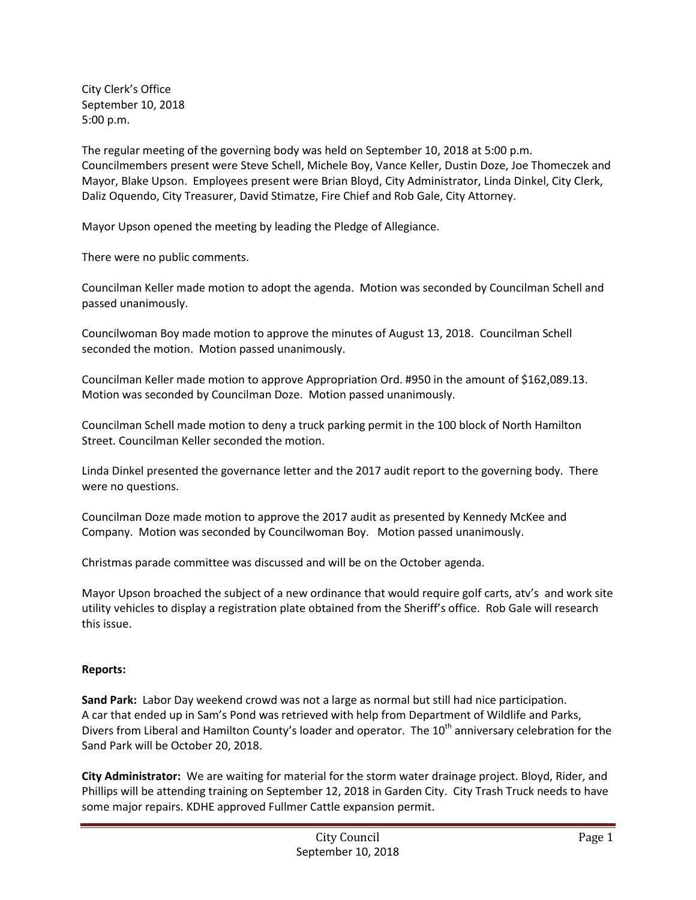City Clerk's Office September 10, 2018 5:00 p.m.

The regular meeting of the governing body was held on September 10, 2018 at 5:00 p.m. Councilmembers present were Steve Schell, Michele Boy, Vance Keller, Dustin Doze, Joe Thomeczek and Mayor, Blake Upson. Employees present were Brian Bloyd, City Administrator, Linda Dinkel, City Clerk, Daliz Oquendo, City Treasurer, David Stimatze, Fire Chief and Rob Gale, City Attorney.

Mayor Upson opened the meeting by leading the Pledge of Allegiance.

There were no public comments.

Councilman Keller made motion to adopt the agenda. Motion was seconded by Councilman Schell and passed unanimously.

Councilwoman Boy made motion to approve the minutes of August 13, 2018. Councilman Schell seconded the motion. Motion passed unanimously.

Councilman Keller made motion to approve Appropriation Ord. #950 in the amount of \$162,089.13. Motion was seconded by Councilman Doze. Motion passed unanimously.

Councilman Schell made motion to deny a truck parking permit in the 100 block of North Hamilton Street. Councilman Keller seconded the motion.

Linda Dinkel presented the governance letter and the 2017 audit report to the governing body. There were no questions.

Councilman Doze made motion to approve the 2017 audit as presented by Kennedy McKee and Company. Motion was seconded by Councilwoman Boy. Motion passed unanimously.

Christmas parade committee was discussed and will be on the October agenda.

Mayor Upson broached the subject of a new ordinance that would require golf carts, atv's and work site utility vehicles to display a registration plate obtained from the Sheriff's office. Rob Gale will research this issue.

## **Reports:**

**Sand Park:** Labor Day weekend crowd was not a large as normal but still had nice participation. A car that ended up in Sam's Pond was retrieved with help from Department of Wildlife and Parks, Divers from Liberal and Hamilton County's loader and operator. The  $10^{th}$  anniversary celebration for the Sand Park will be October 20, 2018.

**City Administrator:** We are waiting for material for the storm water drainage project. Bloyd, Rider, and Phillips will be attending training on September 12, 2018 in Garden City. City Trash Truck needs to have some major repairs. KDHE approved Fullmer Cattle expansion permit.